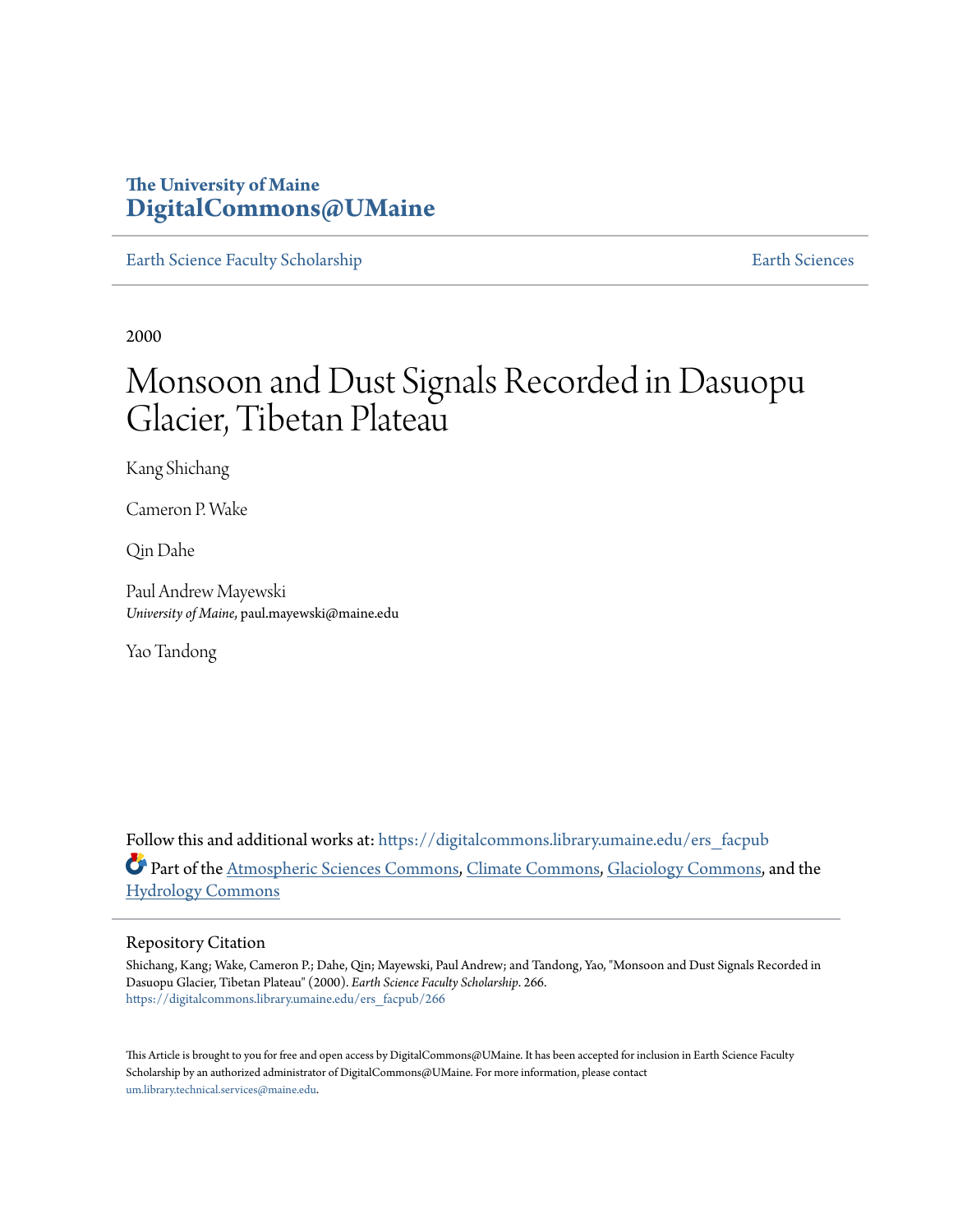### **The University of Maine [DigitalCommons@UMaine](https://digitalcommons.library.umaine.edu?utm_source=digitalcommons.library.umaine.edu%2Fers_facpub%2F266&utm_medium=PDF&utm_campaign=PDFCoverPages)**

[Earth Science Faculty Scholarship](https://digitalcommons.library.umaine.edu/ers_facpub?utm_source=digitalcommons.library.umaine.edu%2Fers_facpub%2F266&utm_medium=PDF&utm_campaign=PDFCoverPages) **[Earth Sciences](https://digitalcommons.library.umaine.edu/ers?utm_source=digitalcommons.library.umaine.edu%2Fers_facpub%2F266&utm_medium=PDF&utm_campaign=PDFCoverPages)** 

2000

# Monsoon and Dust Signals Recorded in Dasuopu Glacier, Tibetan Plateau

Kang Shichang

Cameron P. Wake

Qin Dahe

Paul Andrew Mayewski *University of Maine*, paul.mayewski@maine.edu

Yao Tandong

Follow this and additional works at: [https://digitalcommons.library.umaine.edu/ers\\_facpub](https://digitalcommons.library.umaine.edu/ers_facpub?utm_source=digitalcommons.library.umaine.edu%2Fers_facpub%2F266&utm_medium=PDF&utm_campaign=PDFCoverPages) Part of the [Atmospheric Sciences Commons,](http://network.bepress.com/hgg/discipline/187?utm_source=digitalcommons.library.umaine.edu%2Fers_facpub%2F266&utm_medium=PDF&utm_campaign=PDFCoverPages) [Climate Commons,](http://network.bepress.com/hgg/discipline/188?utm_source=digitalcommons.library.umaine.edu%2Fers_facpub%2F266&utm_medium=PDF&utm_campaign=PDFCoverPages) [Glaciology Commons](http://network.bepress.com/hgg/discipline/159?utm_source=digitalcommons.library.umaine.edu%2Fers_facpub%2F266&utm_medium=PDF&utm_campaign=PDFCoverPages), and the [Hydrology Commons](http://network.bepress.com/hgg/discipline/1054?utm_source=digitalcommons.library.umaine.edu%2Fers_facpub%2F266&utm_medium=PDF&utm_campaign=PDFCoverPages)

#### Repository Citation

Shichang, Kang; Wake, Cameron P.; Dahe, Qin; Mayewski, Paul Andrew; and Tandong, Yao, "Monsoon and Dust Signals Recorded in Dasuopu Glacier, Tibetan Plateau" (2000). *Earth Science Faculty Scholarship*. 266. [https://digitalcommons.library.umaine.edu/ers\\_facpub/266](https://digitalcommons.library.umaine.edu/ers_facpub/266?utm_source=digitalcommons.library.umaine.edu%2Fers_facpub%2F266&utm_medium=PDF&utm_campaign=PDFCoverPages)

This Article is brought to you for free and open access by DigitalCommons@UMaine. It has been accepted for inclusion in Earth Science Faculty Scholarship by an authorized administrator of DigitalCommons@UMaine. For more information, please contact [um.library.technical.services@maine.edu](mailto:um.library.technical.services@maine.edu).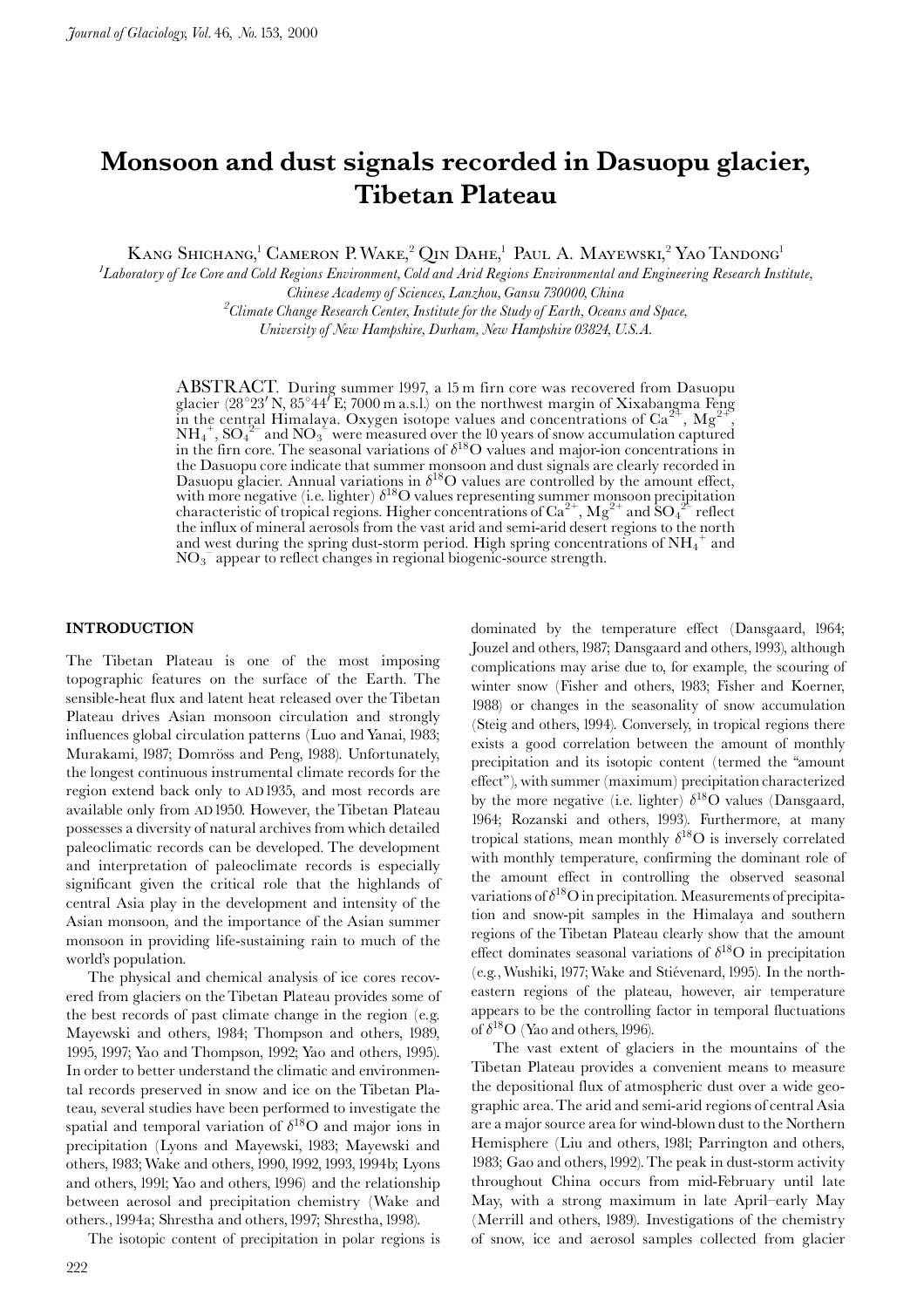## Monsoon and dust signals recorded in Dasuopu glacier, Tibetan Plateau

KANG SHICHANG,<sup>1</sup> CAMERON P. WAKE,<sup>2</sup> QIN DAHE,<sup>1</sup> PAUL A. MAYEWSKI,<sup>2</sup> YAO TANDONG<sup>1</sup>

 ${}^{1}$ Laboratory of Ice Core and Cold Regions Environment, Cold and Arid Regions Environmental and Engineering Research Institute, Chinese Academy of Sciences, Lanzhou, Gansu 730000, China  $^{2}$ Climate Change Research Center, Institute for the Study of Earth, Oceans and Space,

University of New Hampshire, Durham, New Hampshire 03824, U.S.A.

**ABSTRACT.** During summer 1997, a 15 m firn core was recovered from Dasuopu glacier (28°23' N, 85°44' E; 7000 m a.s.l.) on the northwest margin of Xixabangma Feng in the central Himalaya. Oxygen isotope values and concentrations of  $Ca^{2+}$ ,  $Mg^2$  $NH_4^+$ ,  $SO_4^2$ <sup>-</sup> and  $NO_3^$ <sup>-</sup> were measured over the 10 years of snow accumulation captured<br>in the firn core. The seasonal variations of  $\delta^{18}O$  values and major-ion concentrations in the Dasuopu core indicate that summer monsoon and dust signals are clearly recorded in<br>Dasuopu glacier. Annual variations in  $\delta^{18}O$  values are controlled by the amount effect,<br>with more negative (i.e. lighter)  $\delta^{18}O$ and west during the spring dust-storm period. High spring concentrations of  $NH_4^+$  and  $NO<sub>3</sub><sup>-</sup>$  appear to reflect changes in regional biogenic-source strength.

#### **INTRODUCTION**

The Tibetan Plateau is one of the most imposing topographic features on the surface of the Earth. The sensible-heat flux and latent heat released over the Tibetan Plateau drives Asian monsoon circulation and strongly influences global circulation patterns (Luo and Yanai, 1983; Murakami, 1987; Domröss and Peng, 1988). Unfortunately, the longest continuous instrumental climate records for the region extend back only to AD1935, and most records are available only from AD 1950. However, the Tibetan Plateau possesses a diversity of natural archives from which detailed paleoclimatic records can be developed. The development and interpretation of paleoclimate records is especially significant given the critical role that the highlands of central Asia play in the development and intensity of the Asian monsoon, and the importance of the Asian summer monsoon in providing life-sustaining rain to much of the world's population.

The physical and chemical analysis of ice cores recovered from glaciers on the Tibetan Plateau provides some of the best records of past climate change in the region (e.g. Mayewski and others, 1984; Thompson and others, 1989, 1995, 1997; Yao and Thompson, 1992; Yao and others, 1995). In order to better understand the climatic and environmental records preserved in snow and ice on the Tibetan Plateau, several studies have been performed to investigate the spatial and temporal variation of  $\delta^{18}$ O and major ions in precipitation (Lyons and Mayewski, 1983; Mayewski and others, 1983; Wake and others, 1990, 1992, 1993, 1994b; Lyons and others, 1991; Yao and others, 1996) and the relationship between aerosol and precipitation chemistry (Wake and others., 1994a; Shrestha and others, 1997; Shrestha, 1998).

The isotopic content of precipitation in polar regions is

dominated by the temperature effect (Dansgaard, 1964; Jouzel and others, 1987; Dansgaard and others, 1993), although complications may arise due to, for example, the scouring of winter snow (Fisher and others, 1983; Fisher and Koerner, 1988) or changes in the seasonality of snow accumulation (Steig and others, 1994). Conversely, in tropical regions there exists a good correlation between the amount of monthly precipitation and its isotopic content (termed the "amount effect"), with summer (maximum) precipitation characterized by the more negative (i.e. lighter)  $\delta^{18}$ O values (Dansgaard, 1964; Rozanski and others, 1993). Furthermore, at many tropical stations, mean monthly  $\delta^{18}$ O is inversely correlated with monthly temperature, confirming the dominant role of the amount effect in controlling the observed seasonal variations of  $\delta^{18}$ O in precipitation. Measurements of precipitation and snow-pit samples in the Himalaya and southern regions of the Tibetan Plateau clearly show that the amount effect dominates seasonal variations of  $\delta^{18}O$  in precipitation (e.g., Wushiki, 1977; Wake and Stiévenard, 1995). In the northeastern regions of the plateau, however, air temperature appears to be the controlling factor in temporal fluctuations of  $\delta^{18}O$  (Yao and others, 1996).

The vast extent of glaciers in the mountains of the Tibetan Plateau provides a convenient means to measure the depositional flux of atmospheric dust over a wide geographic area. The arid and semi-arid regions of central Asia are a major source area for wind-blown dust to the Northern Hemisphere (Liu and others, 1981; Parrington and others, 1983; Gao and others, 1992). The peak in dust-storm activity throughout China occurs from mid-February until late May, with a strong maximum in late April-early May (Merrill and others, 1989). Investigations of the chemistry of snow, ice and aerosol samples collected from glacier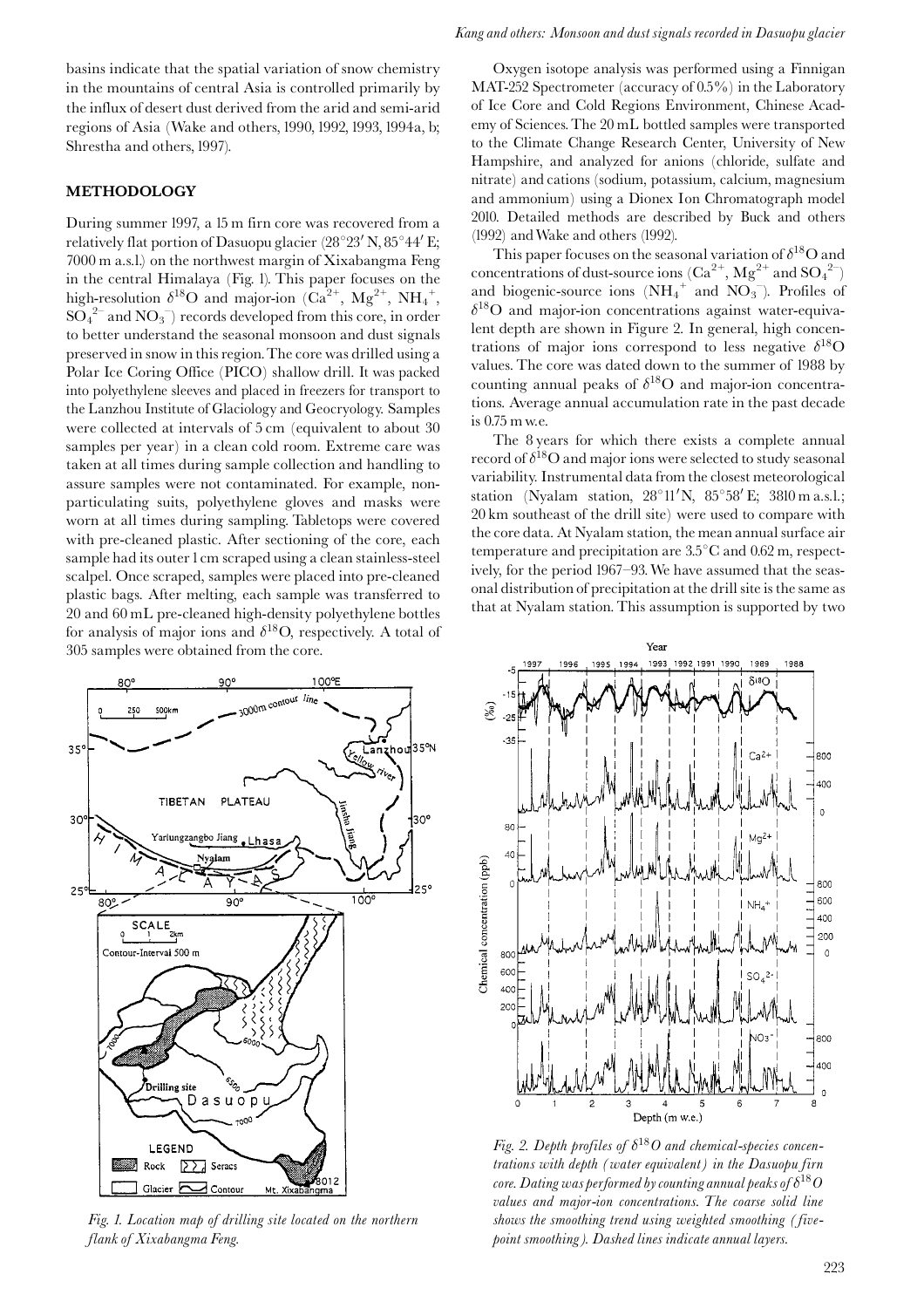basins indicate that the spatial variation of snow chemistry in the mountains of central Asia is controlled primarily by the influx of desert dust derived from the arid and semi-arid regions of Asia (Wake and others, 1990, 1992, 1993, 1994a, b; Shrestha and others, 1997).

#### **METHODOLOGY**

During summer 1997, a 15 m firn core was recovered from a relatively flat portion of Dasuopu glacier (28°23' N, 85°44' E; 7000 m a.s.l.) on the northwest margin of Xixabangma Feng in the central Himalaya (Fig. 1). This paper focuses on the high-resolution  $\delta^{18}O$  and major-ion  $(Ca^{2+}, Mg^{2+}, NH_4^+,$  $SO_4^2$  and  $NO_3^-$  records developed from this core, in order to better understand the seasonal monsoon and dust signals preserved in snow in this region. The core was drilled using a Polar Ice Coring Office (PICO) shallow drill. It was packed into polyethylene sleeves and placed in freezers for transport to the Lanzhou Institute of Glaciology and Geocryology. Samples were collected at intervals of 5 cm (equivalent to about 30 samples per year) in a clean cold room. Extreme care was taken at all times during sample collection and handling to assure samples were not contaminated. For example, nonparticulating suits, polyethylene gloves and masks were worn at all times during sampling. Tabletops were covered with pre-cleaned plastic. After sectioning of the core, each sample had its outer 1 cm scraped using a clean stainless-steel scalpel. Once scraped, samples were placed into pre-cleaned plastic bags. After melting, each sample was transferred to 20 and 60 mL pre-cleaned high-density polyethylene bottles for analysis of major ions and  $\delta^{18}O$ , respectively. A total of 305 samples were obtained from the core.



Fig. 1. Location map of drilling site located on the northern flank of Xixabangma Feng.

#### Kang and others: Monsoon and dust signals recorded in Dasuopu glacier

Oxygen isotope analysis was performed using a Finnigan MAT-252 Spectrometer (accuracy of 0.5%) in the Laboratory of Ice Core and Cold Regions Environment, Chinese Academy of Sciences. The 20 mL bottled samples were transported to the Climate Change Research Center, University of New Hampshire, and analyzed for anions (chloride, sulfate and nitrate) and cations (sodium, potassium, calcium, magnesium and ammonium) using a Dionex Ion Chromatograph model 2010. Detailed methods are described by Buck and others (1992) and Wake and others (1992).

This paper focuses on the seasonal variation of  $\delta^{18}$ O and concentrations of dust-source ions  $(Ca^{2+}, Mg^{2+}$  and  $SO_4^2$ and biogenic-source ions  $(NH_4^+$  and  $NO_3^-$ ). Profiles of  $\delta^{18}$ O and major-ion concentrations against water-equivalent depth are shown in Figure 2. In general, high concentrations of major ions correspond to less negative  $\delta^{18}$ O values. The core was dated down to the summer of 1988 by counting annual peaks of  $\delta^{18}O$  and major-ion concentrations. Average annual accumulation rate in the past decade is 0.75 m w.e.

The 8 years for which there exists a complete annual record of  $\delta^{18}$ O and major ions were selected to study seasonal variability. Instrumental data from the closest meteorological station (Nyalam station,  $28^{\circ}11'$ N,  $85^{\circ}58'$ E;  $3810$  m a.s.l.; 20 km southeast of the drill site) were used to compare with the core data. At Nyalam station, the mean annual surface air temperature and precipitation are  $3.5^{\circ}$ C and  $0.62$  m, respectively, for the period 1967–93. We have assumed that the seasonal distribution of precipitation at the drill site is the same as that at Nyalam station. This assumption is supported by two



Fig. 2. Depth profiles of  $\delta^{18}O$  and chemical-species concentrations with depth (water equivalent) in the Dasuopu firn core. Dating was performed by counting annual peaks of  $\delta^{18}O$ values and major-ion concentrations. The coarse solid line shows the smoothing trend using weighted smoothing (fivepoint smoothing). Dashed lines indicate annual layers.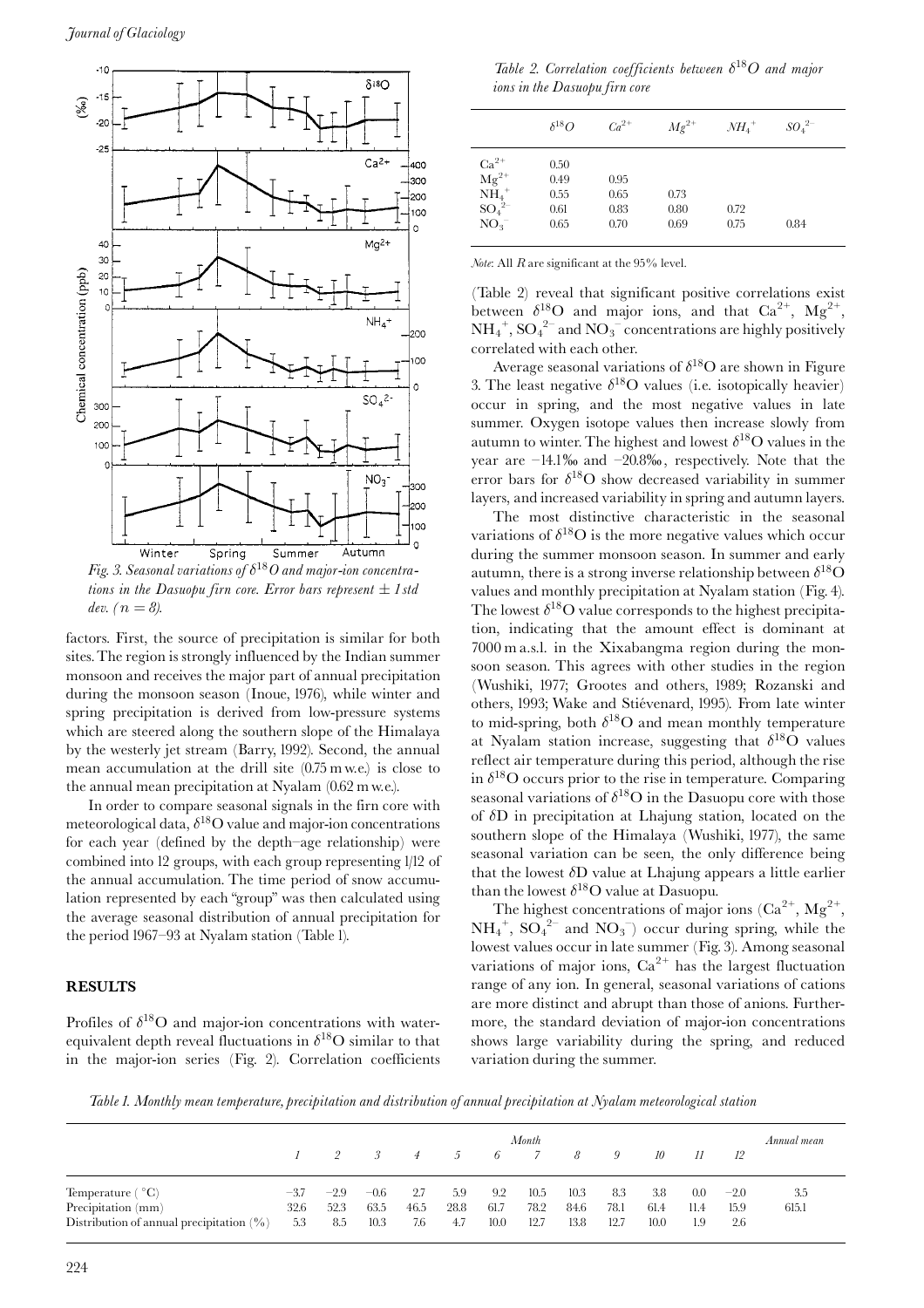

Fig. 3. Seasonal variations of  $\delta^{18}O$  and major-ion concentrations in the Dasuopu firn core. Error bars represent  $\pm$  1 std dev.  $(n=8)$ .

factors. First, the source of precipitation is similar for both sites. The region is strongly influenced by the Indian summer monsoon and receives the major part of annual precipitation during the monsoon season (Inoue, 1976), while winter and spring precipitation is derived from low-pressure systems which are steered along the southern slope of the Himalaya by the westerly jet stream (Barry, 1992). Second, the annual mean accumulation at the drill site  $(0.75 \text{ m} \text{ w.e.})$  is close to the annual mean precipitation at Nyalam (0.62 m w.e.).

In order to compare seasonal signals in the firn core with meteorological data,  $\delta^{18}$ O value and major-ion concentrations for each year (defined by the depth-age relationship) were combined into 12 groups, with each group representing 1/12 of the annual accumulation. The time period of snow accumulation represented by each "group" was then calculated using the average seasonal distribution of annual precipitation for the period 1967-93 at Nyalam station (Table 1).

#### **RESULTS**

Profiles of  $\delta^{18}$ O and major-ion concentrations with waterequivalent depth reveal fluctuations in  $\delta^{18}O$  similar to that in the major-ion series (Fig. 2). Correlation coefficients

Table 2. Correlation coefficients between  $\delta^{18}O$  and major ions in the Dasuopu firn core

|                                                                                                                 | $\delta^{18}O$                       | $Ca^{2+}$                    | $Mg^{2+}$            | $NH_4$ <sup>+</sup> | $SO_4^2$ <sup>-1</sup> |
|-----------------------------------------------------------------------------------------------------------------|--------------------------------------|------------------------------|----------------------|---------------------|------------------------|
| $\begin{array}{c} \rm{Ca}^{2+} \\ \rm{Mg}^{2+} \\ \rm{NH_4}^+ \end{array}$<br>$SO_4^2$ <sup>-</sup><br>$NO_3^-$ | 0.50<br>0.49<br>0.55<br>0.61<br>0.65 | 0.95<br>0.65<br>0.83<br>0.70 | 0.73<br>0.80<br>0.69 | 0.72<br>0.75        | 0.84                   |

Note: All  $R$  are significant at the 95% level.

(Table 2) reveal that significant positive correlations exist between  $\delta^{18}O$  and major ions, and that  $Ca^{2+}$ ,  $Mg^{2+}$ ,  $NH_4^+$ ,  $SO_4^2$  and  $NO_3^-$  concentrations are highly positively correlated with each other.

Average seasonal variations of  $\delta^{18}$ O are shown in Figure 3. The least negative  $\delta^{18}$ O values (i.e. isotopically heavier) occur in spring, and the most negative values in late summer. Oxygen isotope values then increase slowly from autumn to winter. The highest and lowest  $\delta^{18}$ O values in the year are  $-14.1\%$  and  $-20.8\%$ , respectively. Note that the error bars for  $\delta^{18}O$  show decreased variability in summer layers, and increased variability in spring and autumn layers.

The most distinctive characteristic in the seasonal variations of  $\delta^{18}O$  is the more negative values which occur during the summer monsoon season. In summer and early autumn, there is a strong inverse relationship between  $\delta^{18}O$ values and monthly precipitation at Nyalam station (Fig. 4). The lowest  $\delta^{18}O$  value corresponds to the highest precipitation, indicating that the amount effect is dominant at 7000 m a.s.l. in the Xixabangma region during the monsoon season. This agrees with other studies in the region (Wushiki, 1977; Grootes and others, 1989; Rozanski and others, 1993; Wake and Stiévenard, 1995). From late winter to mid-spring, both  $\delta^{18}$ O and mean monthly temperature at Nyalam station increase, suggesting that  $\delta^{18}$ O values reflect air temperature during this period, although the rise in  $\delta^{18}$ O occurs prior to the rise in temperature. Comparing seasonal variations of  $\delta^{18}O$  in the Dasuopu core with those of  $\delta$ D in precipitation at Lhajung station, located on the southern slope of the Himalaya (Wushiki, 1977), the same seasonal variation can be seen, the only difference being that the lowest  $\delta D$  value at Lhajung appears a little earlier than the lowest  $\delta^{18}$ O value at Dasuopu.

The highest concentrations of major ions  $(Ca^{2+}, Mg^{2+})$  $NH_4^+$ ,  $SO_4^{2-}$  and  $NO_3^-$ ) occur during spring, while the lowest values occur in late summer (Fig. 3). Among seasonal variations of major ions,  $Ca^{2+}$  has the largest fluctuation range of any ion. In general, seasonal variations of cations are more distinct and abrupt than those of anions. Furthermore, the standard deviation of major-ion concentrations shows large variability during the spring, and reduced variation during the summer.

Table 1. Monthly mean temperature, precipitation and distribution of annual precipitation at Nyalam meteorological station

|                                                                   | Month       |             |                 |             |               |              |              |              |              | Annual mean  |             |             |       |
|-------------------------------------------------------------------|-------------|-------------|-----------------|-------------|---------------|--------------|--------------|--------------|--------------|--------------|-------------|-------------|-------|
|                                                                   |             |             | $\mathcal{S}^-$ | 4           | $\mathcal{D}$ | 6            |              | 8            | 9            | 10           |             | 12          |       |
| Temperature $(^{\circ}C)$                                         | $-3.7$      | $-2.9$      | $-0.6$          | 2.7         | 5.9           | 9.2          | 10.5         | 10.3         | 8.3          | 3.8          | 0.0         | $-2.0$      | 3.5   |
| Precipitation (mm)<br>Distribution of annual precipitation $(\%)$ | 32.6<br>5.3 | 52.3<br>8.5 | 63.5<br>10.3    | 46.5<br>7.6 | 28.8<br>4.7   | 61.7<br>10.0 | 78.2<br>12.7 | 84.6<br>13.8 | 78.1<br>12.7 | 61.4<br>10.0 | 11.4<br>1.9 | 15.9<br>2.6 | 615.1 |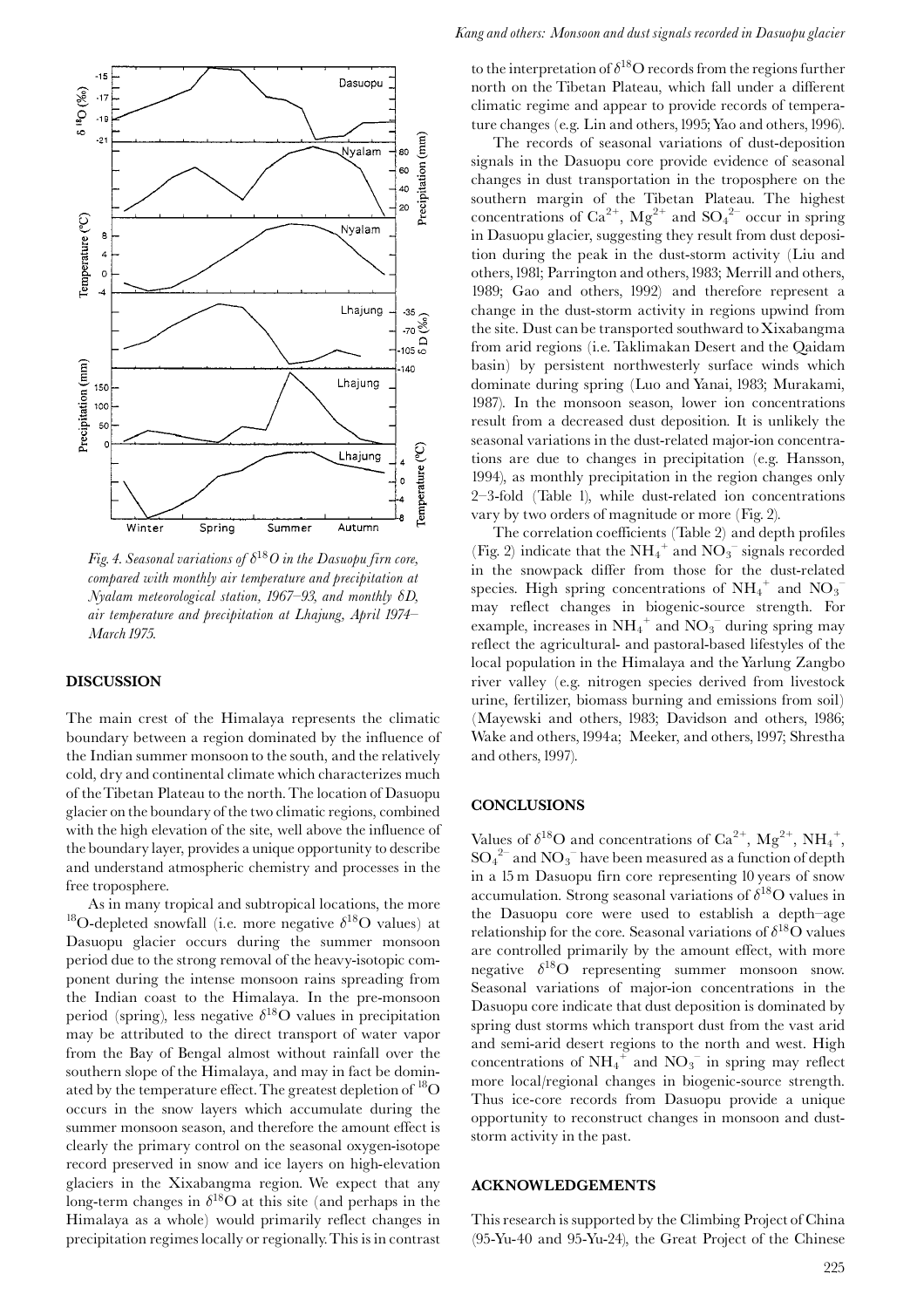

Fig. 4. Seasonal variations of  $\delta^{18}O$  in the Dasuopu firn core, compared with monthly air temperature and precipitation at Nyalam meteorological station, 1967–93, and monthly  $\delta D$ , air temperature and precipitation at Lhajung, April 1974-March 1975.

#### **DISCUSSION**

The main crest of the Himalaya represents the climatic boundary between a region dominated by the influence of the Indian summer monsoon to the south, and the relatively cold, dry and continental climate which characterizes much of the Tibetan Plateau to the north. The location of Dasuopu glacier on the boundary of the two climatic regions, combined with the high elevation of the site, well above the influence of the boundary layer, provides a unique opportunity to describe and understand atmospheric chemistry and processes in the free troposphere.

As in many tropical and subtropical locations, the more <sup>18</sup>O-depleted snowfall (i.e. more negative  $\delta^{18}$ O values) at Dasuopu glacier occurs during the summer monsoon period due to the strong removal of the heavy-isotopic component during the intense monsoon rains spreading from the Indian coast to the Himalaya. In the pre-monsoon period (spring), less negative  $\delta^{18}$ O values in precipitation may be attributed to the direct transport of water vapor from the Bay of Bengal almost without rainfall over the southern slope of the Himalaya, and may in fact be dominated by the temperature effect. The greatest depletion of  ${}^{18}O$ occurs in the snow layers which accumulate during the summer monsoon season, and therefore the amount effect is clearly the primary control on the seasonal oxygen-isotope record preserved in snow and ice layers on high-elevation glaciers in the Xixabangma region. We expect that any long-term changes in  $\delta^{18}$ O at this site (and perhaps in the Himalaya as a whole) would primarily reflect changes in precipitation regimes locally or regionally. This is in contrast

to the interpretation of  $\delta^{18}O$  records from the regions further north on the Tibetan Plateau, which fall under a different climatic regime and appear to provide records of temperature changes (e.g. Lin and others, 1995; Yao and others, 1996).

The records of seasonal variations of dust-deposition signals in the Dasuopu core provide evidence of seasonal changes in dust transportation in the troposphere on the southern margin of the Tibetan Plateau. The highest concentrations of  $Ca^{2+}$ ,  $Mg^{2+}$  and  $SO_4^{2-}$  occur in spring in Dasuopu glacier, suggesting they result from dust deposition during the peak in the dust-storm activity (Liu and others, 1981; Parrington and others, 1983; Merrill and others, 1989; Gao and others, 1992) and therefore represent a change in the dust-storm activity in regions upwind from the site. Dust can be transported southward to Xixabangma from arid regions (i.e. Taklimakan Desert and the Qaidam basin) by persistent northwesterly surface winds which dominate during spring (Luo and Yanai, 1983; Murakami, 1987). In the monsoon season, lower ion concentrations result from a decreased dust deposition. It is unlikely the seasonal variations in the dust-related major-ion concentrations are due to changes in precipitation (e.g. Hansson, 1994), as monthly precipitation in the region changes only 2-3-fold (Table 1), while dust-related ion concentrations vary by two orders of magnitude or more (Fig. 2).

The correlation coefficients (Table 2) and depth profiles (Fig. 2) indicate that the  $NH_4^+$  and  $NO_3^-$  signals recorded in the snowpack differ from those for the dust-related species. High spring concentrations of  $NH_4^+$  and  $NO_3^$ may reflect changes in biogenic-source strength. For example, increases in  $NH_4^+$  and  $NO_3^-$  during spring may reflect the agricultural- and pastoral-based lifestyles of the local population in the Himalaya and the Yarlung Zangbo river valley (e.g. nitrogen species derived from livestock urine, fertilizer, biomass burning and emissions from soil) (Mayewski and others, 1983; Davidson and others, 1986; Wake and others, 1994a; Meeker, and others, 1997; Shrestha and others, 1997).

#### **CONCLUSIONS**

Values of  $\delta^{18}O$  and concentrations of  $Ca^{2+}$ ,  $Mg^{2+}$ ,  $NH_4^+$ ,  $SO_4^2$  and  $NO_3^-$  have been measured as a function of depth in a 15 m Dasuopu firn core representing 10 years of snow accumulation. Strong seasonal variations of  $\delta^{18}$ O values in the Dasuopu core were used to establish a depth-age relationship for the core. Seasonal variations of  $\delta^{18} \rm O$  values are controlled primarily by the amount effect, with more negative  $\delta^{18}O$  representing summer monsoon snow. Seasonal variations of major-ion concentrations in the Dasuopu core indicate that dust deposition is dominated by spring dust storms which transport dust from the vast arid and semi-arid desert regions to the north and west. High concentrations of  $\mathrm{NH_4}^+$  and  $\mathrm{NO_3}^-$  in spring may reflect more local/regional changes in biogenic-source strength. Thus ice-core records from Dasuopu provide a unique opportunity to reconstruct changes in monsoon and duststorm activity in the past.

#### **ACKNOWLEDGEMENTS**

This research is supported by the Climbing Project of China (95-Yu-40 and 95-Yu-24), the Great Project of the Chinese